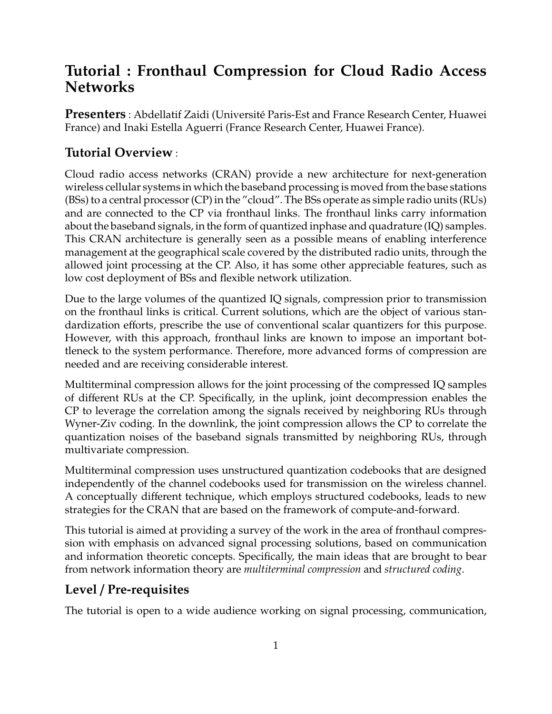# **Tutorial : Fronthaul Compression for Cloud Radio Access Networks**

**Presenters** : Abdellatif Zaidi (Universite Paris-Est and France Research Center, Huawei ´ France) and Inaki Estella Aguerri (France Research Center, Huawei France).

## **Tutorial Overview** :

Cloud radio access networks (CRAN) provide a new architecture for next-generation wireless cellular systems in which the baseband processing is moved from the base stations (BSs) to a central processor (CP) in the "cloud". The BSs operate as simple radio units (RUs) and are connected to the CP via fronthaul links. The fronthaul links carry information about the baseband signals, in the form of quantized inphase and quadrature (IQ) samples. This CRAN architecture is generally seen as a possible means of enabling interference management at the geographical scale covered by the distributed radio units, through the allowed joint processing at the CP. Also, it has some other appreciable features, such as low cost deployment of BSs and flexible network utilization.

Due to the large volumes of the quantized IQ signals, compression prior to transmission on the fronthaul links is critical. Current solutions, which are the object of various standardization efforts, prescribe the use of conventional scalar quantizers for this purpose. However, with this approach, fronthaul links are known to impose an important bottleneck to the system performance. Therefore, more advanced forms of compression are needed and are receiving considerable interest.

Multiterminal compression allows for the joint processing of the compressed IQ samples of different RUs at the CP. Specifically, in the uplink, joint decompression enables the CP to leverage the correlation among the signals received by neighboring RUs through Wyner-Ziv coding. In the downlink, the joint compression allows the CP to correlate the quantization noises of the baseband signals transmitted by neighboring RUs, through multivariate compression.

Multiterminal compression uses unstructured quantization codebooks that are designed independently of the channel codebooks used for transmission on the wireless channel. A conceptually different technique, which employs structured codebooks, leads to new strategies for the CRAN that are based on the framework of compute-and-forward.

This tutorial is aimed at providing a survey of the work in the area of fronthaul compression with emphasis on advanced signal processing solutions, based on communication and information theoretic concepts. Specifically, the main ideas that are brought to bear from network information theory are *multiterminal compression* and *structured coding*.

### **Level** / **Pre-requisites**

The tutorial is open to a wide audience working on signal processing, communication,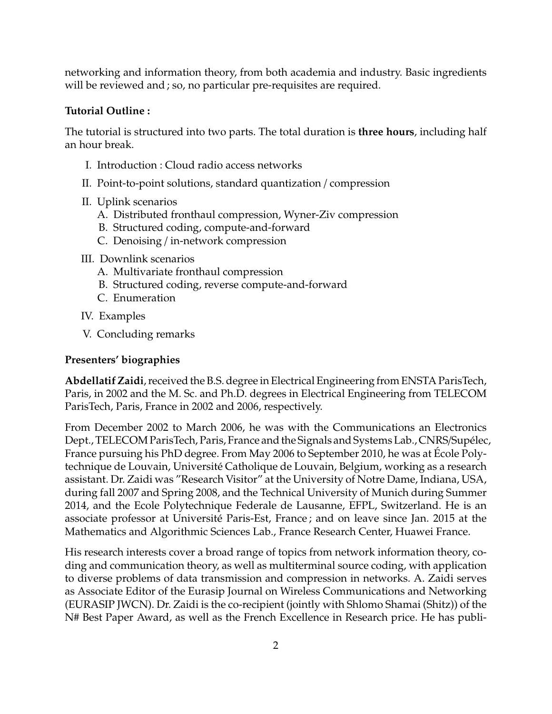networking and information theory, from both academia and industry. Basic ingredients will be reviewed and ; so, no particular pre-requisites are required.

#### **Tutorial Outline :**

The tutorial is structured into two parts. The total duration is **three hours**, including half an hour break.

- I. Introduction : Cloud radio access networks
- II. Point-to-point solutions, standard quantization / compression
- II. Uplink scenarios
	- A. Distributed fronthaul compression, Wyner-Ziv compression
	- B. Structured coding, compute-and-forward
	- C. Denoising / in-network compression
- III. Downlink scenarios
	- A. Multivariate fronthaul compression
	- B. Structured coding, reverse compute-and-forward
	- C. Enumeration
- IV. Examples
- V. Concluding remarks

#### **Presenters' biographies**

**Abdellatif Zaidi**, received the B.S. degree in Electrical Engineering from ENSTA ParisTech, Paris, in 2002 and the M. Sc. and Ph.D. degrees in Electrical Engineering from TELECOM ParisTech, Paris, France in 2002 and 2006, respectively.

From December 2002 to March 2006, he was with the Communications an Electronics Dept., TELECOM ParisTech, Paris, France and the Signals and Systems Lab., CNRS/Supélec, France pursuing his PhD degree. From May 2006 to September 2010, he was at Ecole Poly- ´ technique de Louvain, Universite Catholique de Louvain, Belgium, working as a research ´ assistant. Dr. Zaidi was "Research Visitor" at the University of Notre Dame, Indiana, USA, during fall 2007 and Spring 2008, and the Technical University of Munich during Summer 2014, and the Ecole Polytechnique Federale de Lausanne, EFPL, Switzerland. He is an associate professor at Université Paris-Est, France; and on leave since Jan. 2015 at the Mathematics and Algorithmic Sciences Lab., France Research Center, Huawei France.

His research interests cover a broad range of topics from network information theory, coding and communication theory, as well as multiterminal source coding, with application to diverse problems of data transmission and compression in networks. A. Zaidi serves as Associate Editor of the Eurasip Journal on Wireless Communications and Networking (EURASIP JWCN). Dr. Zaidi is the co-recipient (jointly with Shlomo Shamai (Shitz)) of the N# Best Paper Award, as well as the French Excellence in Research price. He has publi